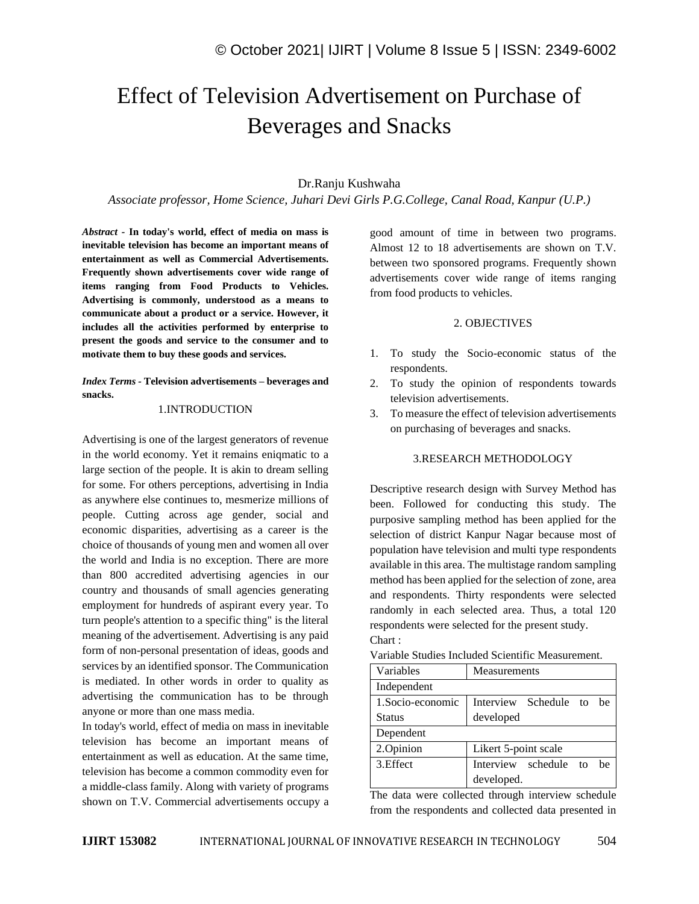# Effect of Television Advertisement on Purchase of Beverages and Snacks

# Dr.Ranju Kushwaha

*Associate professor, Home Science, Juhari Devi Girls P.G.College, Canal Road, Kanpur (U.P.)*

*Abstract -* **In today's world, effect of media on mass is inevitable television has become an important means of entertainment as well as Commercial Advertisements. Frequently shown advertisements cover wide range of items ranging from Food Products to Vehicles. Advertising is commonly, understood as a means to communicate about a product or a service. However, it includes all the activities performed by enterprise to present the goods and service to the consumer and to motivate them to buy these goods and services.**

*Index Terms -* **Television advertisements – beverages and snacks.**

# 1.INTRODUCTION

Advertising is one of the largest generators of revenue in the world economy. Yet it remains eniqmatic to a large section of the people. It is akin to dream selling for some. For others perceptions, advertising in India as anywhere else continues to, mesmerize millions of people. Cutting across age gender, social and economic disparities, advertising as a career is the choice of thousands of young men and women all over the world and India is no exception. There are more than 800 accredited advertising agencies in our country and thousands of small agencies generating employment for hundreds of aspirant every year. To turn people's attention to a specific thing" is the literal meaning of the advertisement. Advertising is any paid form of non-personal presentation of ideas, goods and services by an identified sponsor. The Communication is mediated. In other words in order to quality as advertising the communication has to be through anyone or more than one mass media.

In today's world, effect of media on mass in inevitable television has become an important means of entertainment as well as education. At the same time, television has become a common commodity even for a middle-class family. Along with variety of programs shown on T.V. Commercial advertisements occupy a good amount of time in between two programs. Almost 12 to 18 advertisements are shown on T.V. between two sponsored programs. Frequently shown advertisements cover wide range of items ranging from food products to vehicles.

#### 2. OBJECTIVES

- 1. To study the Socio-economic status of the respondents.
- 2. To study the opinion of respondents towards television advertisements.
- 3. To measure the effect of television advertisements on purchasing of beverages and snacks.

### 3.RESEARCH METHODOLOGY

Descriptive research design with Survey Method has been. Followed for conducting this study. The purposive sampling method has been applied for the selection of district Kanpur Nagar because most of population have television and multi type respondents available in this area. The multistage random sampling method has been applied for the selection of zone, area and respondents. Thirty respondents were selected randomly in each selected area. Thus, a total 120 respondents were selected for the present study. Chart :

| Variables         | Measurements                 |  |  |
|-------------------|------------------------------|--|--|
| Independent       |                              |  |  |
| 1. Socio-economic | Interview Schedule to<br>he  |  |  |
| <b>Status</b>     | developed                    |  |  |
| Dependent         |                              |  |  |
| 2.Opinion         | Likert 5-point scale         |  |  |
| 3. Effect         | Interview schedule to<br>he. |  |  |
|                   | developed.                   |  |  |

Variable Studies Included Scientific Measurement.

The data were collected through interview schedule from the respondents and collected data presented in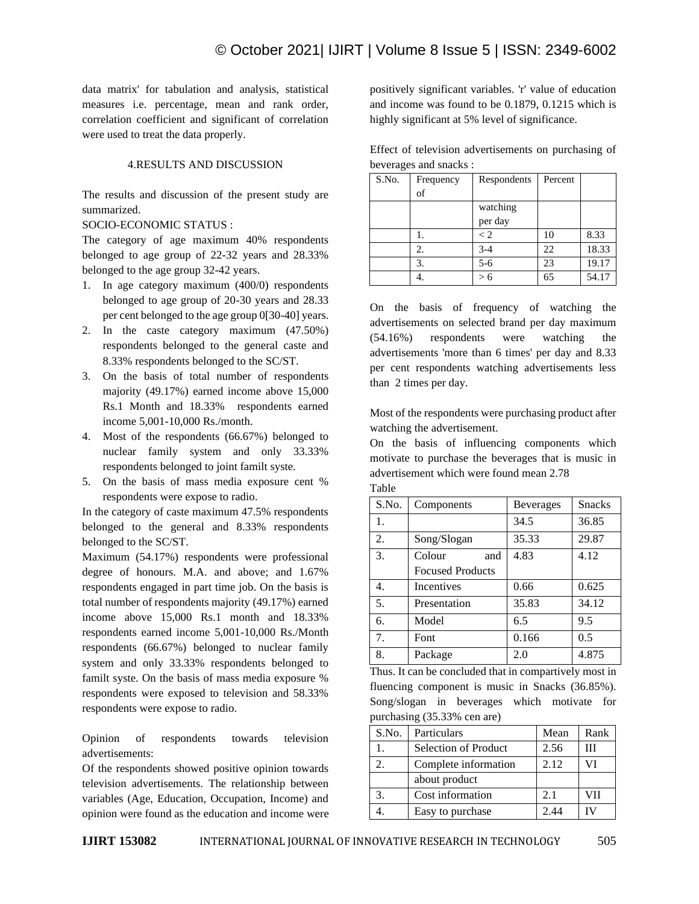data matrix' for tabulation and analysis, statistical measures i.e. percentage, mean and rank order, correlation coefficient and significant of correlation were used to treat the data properly.

# 4.RESULTS AND DISCUSSION

The results and discussion of the present study are summarized.

# SOCIO-ECONOMIC STATUS :

The category of age maximum 40% respondents belonged to age group of 22-32 years and 28.33% belonged to the age group 32-42 years.

- 1. In age category maximum (400/0) respondents belonged to age group of 20-30 years and 28.33 per cent belonged to the age group 0[30-40] years.
- 2. In the caste category maximum (47.50%) respondents belonged to the general caste and 8.33% respondents belonged to the SC/ST.
- 3. On the basis of total number of respondents majority (49.17%) earned income above 15,000 Rs.1 Month and 18.33% respondents earned income 5,001-10,000 Rs./month.
- 4. Most of the respondents (66.67%) belonged to nuclear family system and only 33.33% respondents belonged to joint familt syste.
- 5. On the basis of mass media exposure cent % respondents were expose to radio.

In the category of caste maximum 47.5% respondents belonged to the general and 8.33% respondents belonged to the SC/ST.

Maximum (54.17%) respondents were professional degree of honours. M.A. and above; and 1.67% respondents engaged in part time job. On the basis is total number of respondents majority (49.17%) earned income above 15,000 Rs.1 month and 18.33% respondents earned income 5,001-10,000 Rs./Month respondents (66.67%) belonged to nuclear family system and only 33.33% respondents belonged to familt syste. On the basis of mass media exposure % respondents were exposed to television and 58.33% respondents were expose to radio.

Opinion of respondents towards television advertisements:

Of the respondents showed positive opinion towards television advertisements. The relationship between variables (Age, Education, Occupation, Income) and opinion were found as the education and income were positively significant variables. 'r' value of education and income was found to be 0.1879, 0.1215 which is highly significant at 5% level of significance.

Effect of television advertisements on purchasing of beverages and snacks :

| S.No. | Frequency | Respondents | Percent |       |
|-------|-----------|-------------|---------|-------|
|       | of        |             |         |       |
|       |           | watching    |         |       |
|       |           | per day     |         |       |
|       |           | $\lt 2$     | 10      | 8.33  |
|       | 2.        | $3 - 4$     | 22      | 18.33 |
|       | 3         | $5 - 6$     | 23      | 19.17 |
|       |           |             | 65      | 54.17 |

On the basis of frequency of watching the advertisements on selected brand per day maximum (54.16%) respondents were watching the advertisements 'more than 6 times' per day and 8.33 per cent respondents watching advertisements less than 2 times per day.

Most of the respondents were purchasing product after watching the advertisement.

On the basis of influencing components which motivate to purchase the beverages that is music in advertisement which were found mean 2.78 Table

| S.No. | Components              | <b>Beverages</b> | <b>Snacks</b> |
|-------|-------------------------|------------------|---------------|
| 1.    |                         | 34.5             | 36.85         |
| 2.    | Song/Slogan             | 35.33            | 29.87         |
| 3.    | Colour<br>and           | 4.83             | 4.12          |
|       | <b>Focused Products</b> |                  |               |
| 4.    | Incentives              | 0.66             | 0.625         |
| 5.    | Presentation            | 35.83            | 34.12         |
| 6.    | Model                   | 6.5              | 9.5           |
| 7.    | Font                    | 0.166            | 0.5           |
| 8.    | Package                 | 2.0              | 4.875         |

Thus. It can be concluded that in compartively most in fluencing component is music in Snacks (36.85%). Song/slogan in beverages which motivate for purchasing (35.33% cen are)

| S.No. | Particulars          | Mean | Rank |
|-------|----------------------|------|------|
|       | Selection of Product | 2.56 | Ш    |
| 2.    | Complete information | 2.12 |      |
|       | about product        |      |      |
|       | Cost information     | 2.1  | VII  |
|       | Easy to purchase     | 2.44 |      |